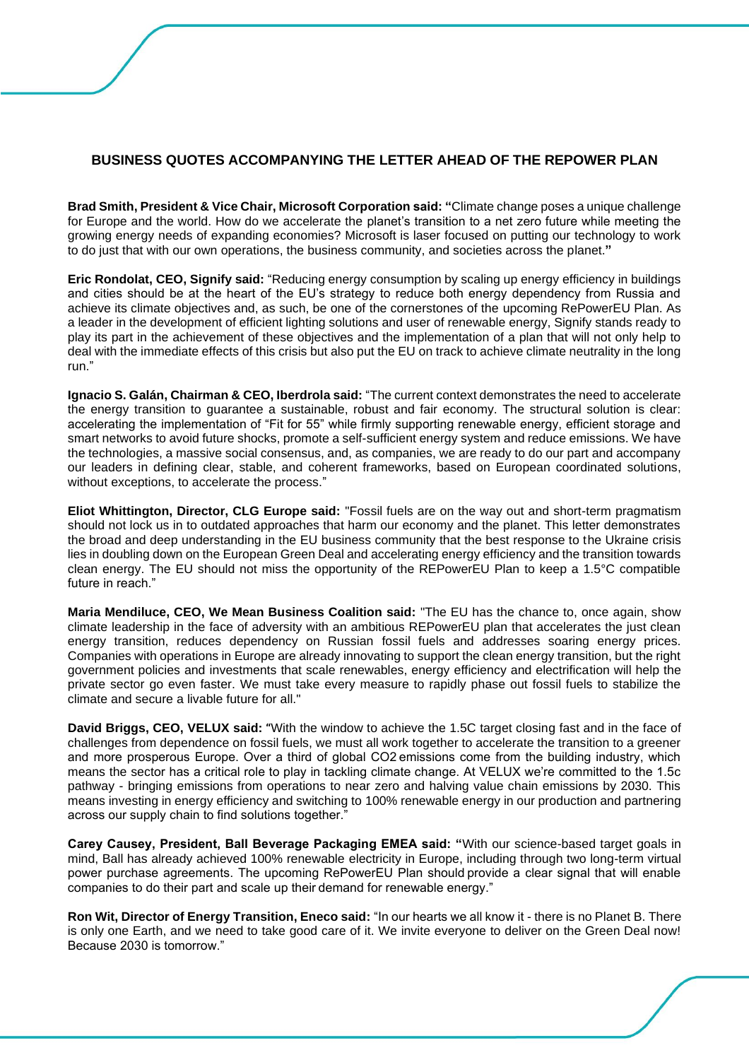## **BUSINESS QUOTES ACCOMPANYING THE LETTER AHEAD OF THE REPOWER PLAN**

**Brad Smith, President & Vice Chair, Microsoft Corporation said: "**Climate change poses a unique challenge for Europe and the world. How do we accelerate the planet's transition to a net zero future while meeting the growing energy needs of expanding economies? Microsoft is laser focused on putting our technology to work to do just that with our own operations, the business community, and societies across the planet.**"**

**Eric Rondolat, CEO, Signify said:** "Reducing energy consumption by scaling up energy efficiency in buildings and cities should be at the heart of the EU's strategy to reduce both energy dependency from Russia and achieve its climate objectives and, as such, be one of the cornerstones of the upcoming RePowerEU Plan. As a leader in the development of efficient lighting solutions and user of renewable energy, Signify stands ready to play its part in the achievement of these objectives and the implementation of a plan that will not only help to deal with the immediate effects of this crisis but also put the EU on track to achieve climate neutrality in the long run."

**Ignacio S. Galán, Chairman & CEO, Iberdrola said:** "The current context demonstrates the need to accelerate the energy transition to guarantee a sustainable, robust and fair economy. The structural solution is clear: accelerating the implementation of "Fit for 55" while firmly supporting renewable energy, efficient storage and smart networks to avoid future shocks, promote a self-sufficient energy system and reduce emissions. We have the technologies, a massive social consensus, and, as companies, we are ready to do our part and accompany our leaders in defining clear, stable, and coherent frameworks, based on European coordinated solutions, without exceptions, to accelerate the process."

**Eliot Whittington, Director, CLG Europe said:** "Fossil fuels are on the way out and short-term pragmatism should not lock us in to outdated approaches that harm our economy and the planet. This letter demonstrates the broad and deep understanding in the EU business community that the best response to the Ukraine crisis lies in doubling down on the European Green Deal and accelerating energy efficiency and the transition towards clean energy. The EU should not miss the opportunity of the REPowerEU Plan to keep a 1.5°C compatible future in reach."

**Maria Mendiluce, CEO, We Mean Business Coalition said:** "The EU has the chance to, once again, show climate leadership in the face of adversity with an ambitious REPowerEU plan that accelerates the just clean energy transition, reduces dependency on Russian fossil fuels and addresses soaring energy prices. Companies with operations in Europe are already innovating to support the clean energy transition, but the right government policies and investments that scale renewables, energy efficiency and electrification will help the private sector go even faster. We must take every measure to rapidly phase out fossil fuels to stabilize the climate and secure a livable future for all."

**David Briggs, CEO, VELUX said: "**With the window to achieve the 1.5C target closing fast and in the face of challenges from dependence on fossil fuels, we must all work together to accelerate the transition to a greener and more prosperous Europe. Over a third of global CO2 emissions come from the building industry, which means the sector has a critical role to play in tackling climate change. At VELUX we're committed to the 1.5c pathway - bringing emissions from operations to near zero and halving value chain emissions by 2030. This means investing in energy efficiency and switching to 100% renewable energy in our production and partnering across our supply chain to find solutions together."

**Carey Causey, President, Ball Beverage Packaging EMEA said: "**With our science-based target goals in mind, Ball has already achieved 100% renewable electricity in Europe, including through two long-term virtual power purchase agreements. The upcoming RePowerEU Plan should provide a clear signal that will enable companies to do their part and scale up their demand for renewable energy."

**Ron Wit, Director of Energy Transition, Eneco said:** "In our hearts we all know it - there is no Planet B. There is only one Earth, and we need to take good care of it. We invite everyone to deliver on the Green Deal now! Because 2030 is tomorrow."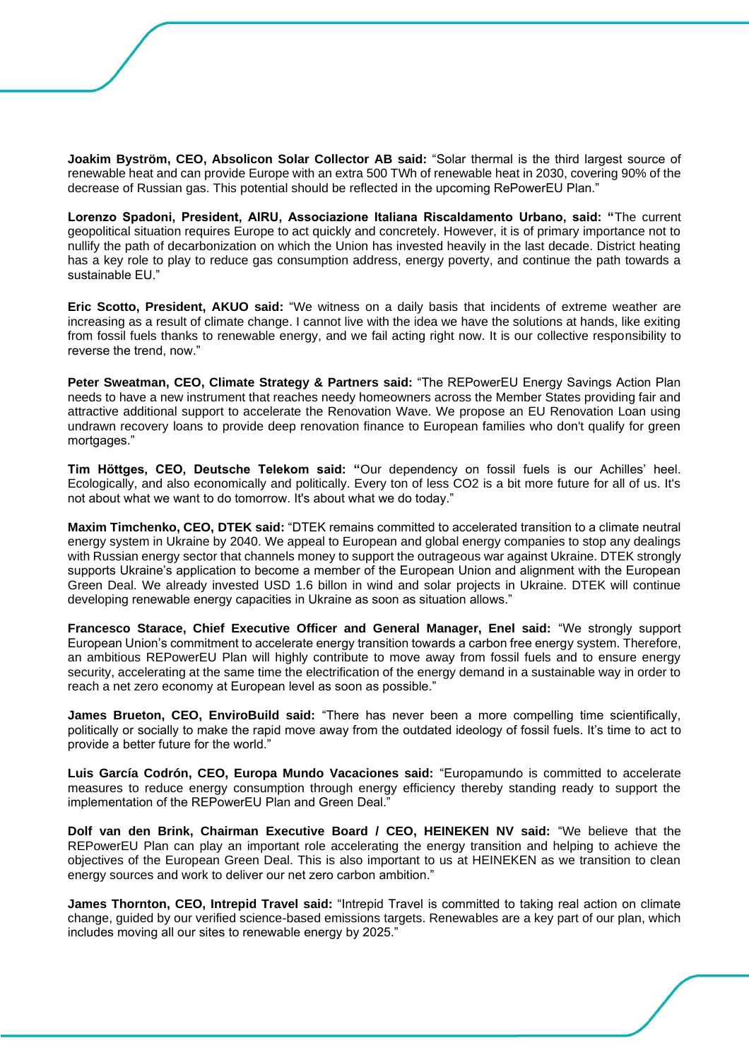**Joakim Byström, CEO, Absolicon Solar Collector AB said:** "Solar thermal is the third largest source of renewable heat and can provide Europe with an extra 500 TWh of renewable heat in 2030, covering 90% of the decrease of Russian gas. This potential should be reflected in the upcoming RePowerEU Plan."

**Lorenzo Spadoni, President, AIRU, Associazione Italiana Riscaldamento Urbano, said: "**The current geopolitical situation requires Europe to act quickly and concretely. However, it is of primary importance not to nullify the path of decarbonization on which the Union has invested heavily in the last decade. District heating has a key role to play to reduce gas consumption address, energy poverty, and continue the path towards a sustainable EU."

**Eric Scotto, President, AKUO said:** "We witness on a daily basis that incidents of extreme weather are increasing as a result of climate change. I cannot live with the idea we have the solutions at hands, like exiting from fossil fuels thanks to renewable energy, and we fail acting right now. It is our collective responsibility to reverse the trend, now."

**Peter Sweatman, CEO, Climate Strategy & Partners said:** "The REPowerEU Energy Savings Action Plan needs to have a new instrument that reaches needy homeowners across the Member States providing fair and attractive additional support to accelerate the Renovation Wave. We propose an EU Renovation Loan using undrawn recovery loans to provide deep renovation finance to European families who don't qualify for green mortgages."

**Tim Höttges, CEO, Deutsche Telekom said: "**Our dependency on fossil fuels is our Achilles' heel. Ecologically, and also economically and politically. Every ton of less CO2 is a bit more future for all of us. It's not about what we want to do tomorrow. It's about what we do today."

**Maxim Timchenko, CEO, DTEK said:** "DTEK remains committed to accelerated transition to a climate neutral energy system in Ukraine by 2040. We appeal to European and global energy companies to stop any dealings with Russian energy sector that channels money to support the outrageous war against Ukraine. DTEK strongly supports Ukraine's application to become a member of the European Union and alignment with the European Green Deal. We already invested USD 1.6 billon in wind and solar projects in Ukraine. DTEK will continue developing renewable energy capacities in Ukraine as soon as situation allows."

**Francesco Starace, Chief Executive Officer and General Manager, Enel said:** "We strongly support European Union's commitment to accelerate energy transition towards a carbon free energy system. Therefore, an ambitious REPowerEU Plan will highly contribute to move away from fossil fuels and to ensure energy security, accelerating at the same time the electrification of the energy demand in a sustainable way in order to reach a net zero economy at European level as soon as possible."

**James Brueton, CEO, EnviroBuild said:** "There has never been a more compelling time scientifically, politically or socially to make the rapid move away from the outdated ideology of fossil fuels. It's time to act to provide a better future for the world."

**Luis García Codrón, CEO, Europa Mundo Vacaciones said:** "Europamundo is committed to accelerate measures to reduce energy consumption through energy efficiency thereby standing ready to support the implementation of the REPowerEU Plan and Green Deal."

**Dolf van den Brink, Chairman Executive Board / CEO, HEINEKEN NV said:** "We believe that the REPowerEU Plan can play an important role accelerating the energy transition and helping to achieve the objectives of the European Green Deal. This is also important to us at HEINEKEN as we transition to clean energy sources and work to deliver our net zero carbon ambition."

**James Thornton, CEO, Intrepid Travel said:** "Intrepid Travel is committed to taking real action on climate change, guided by our verified science-based emissions targets. Renewables are a key part of our plan, which includes moving all our sites to renewable energy by 2025."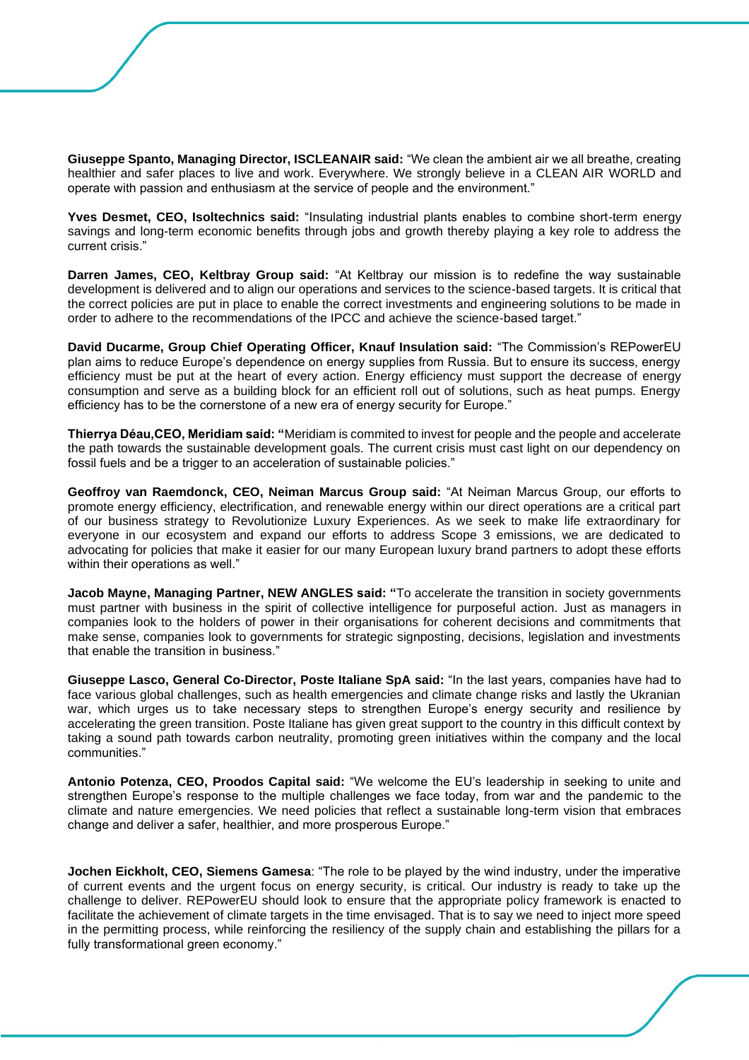**Giuseppe Spanto, Managing Director, ISCLEANAIR said:** "We clean the ambient air we all breathe, creating healthier and safer places to live and work. Everywhere. We strongly believe in a CLEAN AIR WORLD and operate with passion and enthusiasm at the service of people and the environment."

**Yves Desmet, CEO, Isoltechnics said:** "Insulating industrial plants enables to combine short-term energy savings and long-term economic benefits through jobs and growth thereby playing a key role to address the current crisis."

**Darren James, CEO, Keltbray Group said:** "At Keltbray our mission is to redefine the way sustainable development is delivered and to align our operations and services to the science-based targets. It is critical that the correct policies are put in place to enable the correct investments and engineering solutions to be made in order to adhere to the recommendations of the IPCC and achieve the science-based target."

**David Ducarme, Group Chief Operating Officer, Knauf Insulation said:** "The Commission's REPowerEU plan aims to reduce Europe's dependence on energy supplies from Russia. But to ensure its success, energy efficiency must be put at the heart of every action. Energy efficiency must support the decrease of energy consumption and serve as a building block for an efficient roll out of solutions, such as heat pumps. Energy efficiency has to be the cornerstone of a new era of energy security for Europe."

**Thierrya Déau,CEO, Meridiam said: "**Meridiam is commited to invest for people and the people and accelerate the path towards the sustainable development goals. The current crisis must cast light on our dependency on fossil fuels and be a trigger to an acceleration of sustainable policies."

**Geoffroy van Raemdonck, CEO, Neiman Marcus Group said:** "At Neiman Marcus Group, our efforts to promote energy efficiency, electrification, and renewable energy within our direct operations are a critical part of our business strategy to Revolutionize Luxury Experiences. As we seek to make life extraordinary for everyone in our ecosystem and expand our efforts to address Scope 3 emissions, we are dedicated to advocating for policies that make it easier for our many European luxury brand partners to adopt these efforts within their operations as well."

**Jacob Mayne, Managing Partner, NEW ANGLES said: "**To accelerate the transition in society governments must partner with business in the spirit of collective intelligence for purposeful action. Just as managers in companies look to the holders of power in their organisations for coherent decisions and commitments that make sense, companies look to governments for strategic signposting, decisions, legislation and investments that enable the transition in business."

**Giuseppe Lasco, General Co-Director, Poste Italiane SpA said:** "In the last years, companies have had to face various global challenges, such as health emergencies and climate change risks and lastly the Ukranian war, which urges us to take necessary steps to strengthen Europe's energy security and resilience by accelerating the green transition. Poste Italiane has given great support to the country in this difficult context by taking a sound path towards carbon neutrality, promoting green initiatives within the company and the local communities."

**Antonio Potenza, CEO, Proodos Capital said:** "We welcome the EU's leadership in seeking to unite and strengthen Europe's response to the multiple challenges we face today, from war and the pandemic to the climate and nature emergencies. We need policies that reflect a sustainable long-term vision that embraces change and deliver a safer, healthier, and more prosperous Europe."

**Jochen Eickholt, CEO, Siemens Gamesa**: "The role to be played by the wind industry, under the imperative of current events and the urgent focus on energy security, is critical. Our industry is ready to take up the challenge to deliver. REPowerEU should look to ensure that the appropriate policy framework is enacted to facilitate the achievement of climate targets in the time envisaged. That is to say we need to inject more speed in the permitting process, while reinforcing the resiliency of the supply chain and establishing the pillars for a fully transformational green economy."